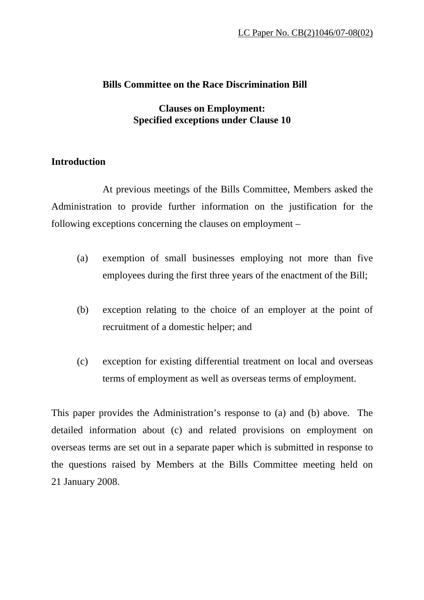#### **Bills Committee on the Race Discrimination Bill**

## **Clauses on Employment: Specified exceptions under Clause 10**

## **Introduction**

 At previous meetings of the Bills Committee, Members asked the Administration to provide further information on the justification for the following exceptions concerning the clauses on employment –

- (a) exemption of small businesses employing not more than five employees during the first three years of the enactment of the Bill;
- (b) exception relating to the choice of an employer at the point of recruitment of a domestic helper; and
- (c) exception for existing differential treatment on local and overseas terms of employment as well as overseas terms of employment.

This paper provides the Administration's response to (a) and (b) above. The detailed information about (c) and related provisions on employment on overseas terms are set out in a separate paper which is submitted in response to the questions raised by Members at the Bills Committee meeting held on 21 January 2008.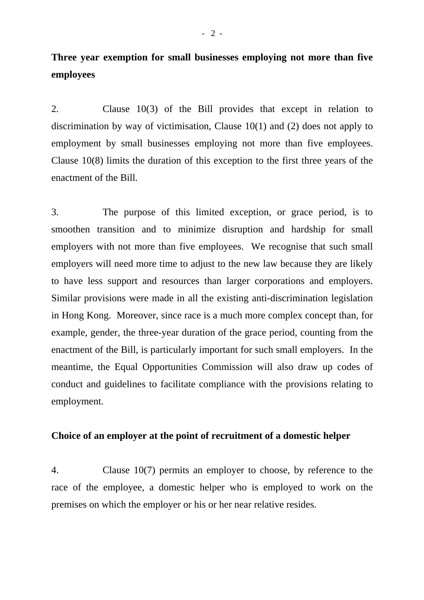# **Three year exemption for small businesses employing not more than five employees**

2. Clause 10(3) of the Bill provides that except in relation to discrimination by way of victimisation, Clause 10(1) and (2) does not apply to employment by small businesses employing not more than five employees. Clause 10(8) limits the duration of this exception to the first three years of the enactment of the Bill.

3. The purpose of this limited exception, or grace period, is to smoothen transition and to minimize disruption and hardship for small employers with not more than five employees. We recognise that such small employers will need more time to adjust to the new law because they are likely to have less support and resources than larger corporations and employers. Similar provisions were made in all the existing anti-discrimination legislation in Hong Kong. Moreover, since race is a much more complex concept than, for example, gender, the three-year duration of the grace period, counting from the enactment of the Bill, is particularly important for such small employers. In the meantime, the Equal Opportunities Commission will also draw up codes of conduct and guidelines to facilitate compliance with the provisions relating to employment.

#### **Choice of an employer at the point of recruitment of a domestic helper**

4. Clause 10(7) permits an employer to choose, by reference to the race of the employee, a domestic helper who is employed to work on the premises on which the employer or his or her near relative resides.